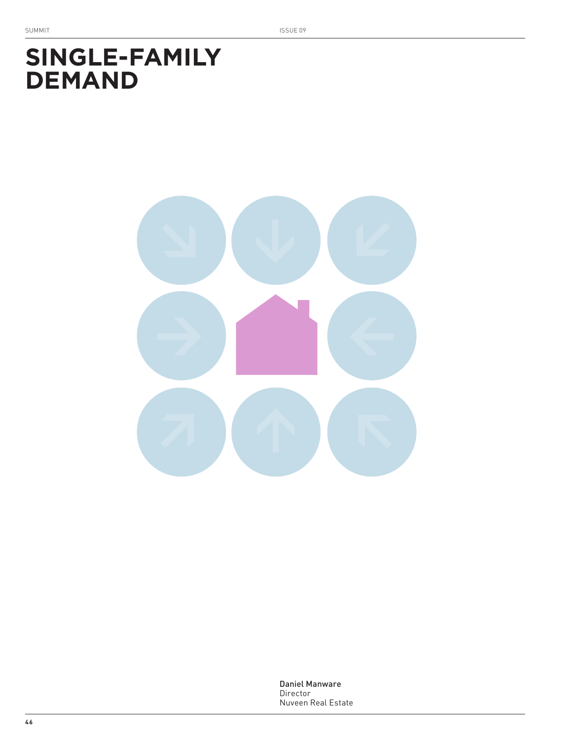# **SINGLE-FAMILY DEMAND**

Daniel Manware Director Nuveen Real Estate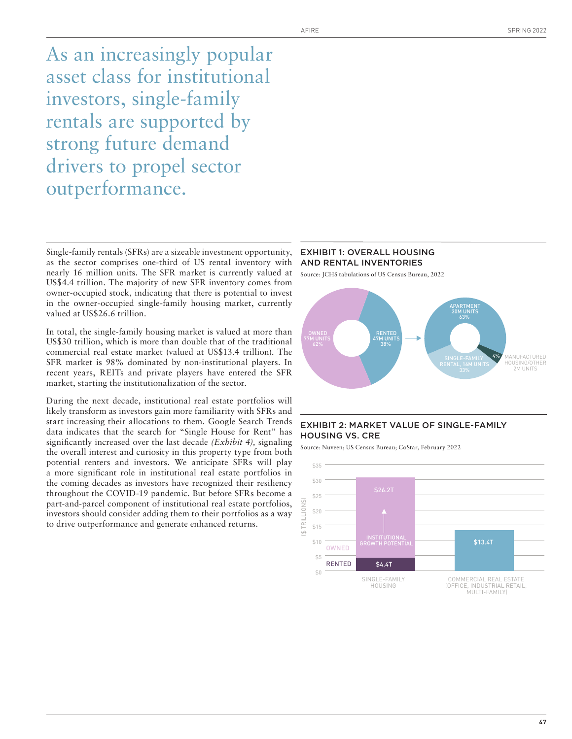As an increasingly popular asset class for institutional investors, single-family rentals are supported by strong future demand drivers to propel sector outperformance.

Single-family rentals (SFRs) are a sizeable investment opportunity, as the sector comprises one-third of US rental inventory with nearly 16 million units. The SFR market is currently valued at US\$4.4 trillion. The majority of new SFR inventory comes from owner-occupied stock, indicating that there is potential to invest in the owner-occupied single-family housing market, currently valued at US\$26.6 trillion.

In total, the single-family housing market is valued at more than US\$30 trillion, which is more than double that of the traditional commercial real estate market (valued at US\$13.4 trillion). The SFR market is 98% dominated by non-institutional players. In recent years, REITs and private players have entered the SFR market, starting the institutionalization of the sector.

During the next decade, institutional real estate portfolios will likely transform as investors gain more familiarity with SFRs and start increasing their allocations to them. Google Search Trends data indicates that the search for "Single House for Rent" has significantly increased over the last decade *(Exhibit 4),* signaling the overall interest and curiosity in this property type from both potential renters and investors. We anticipate SFRs will play a more significant role in institutional real estate portfolios in the coming decades as investors have recognized their resiliency throughout the COVID-19 pandemic. But before SFRs become a part-and-parcel component of institutional real estate portfolios, investors should consider adding them to their portfolios as a way to drive outperformance and generate enhanced returns.

#### EXHIBIT 1: OVERALL HOUSING AND RENTAL INVENTORIES

Source: JCHS tabulations of US Census Bureau, 2022



# EXHIBIT 2: MARKET VALUE OF SINGLE-FAMILY HOUSING VS. CRE

Source: Nuveen; US Census Bureau; CoStar, February 2022

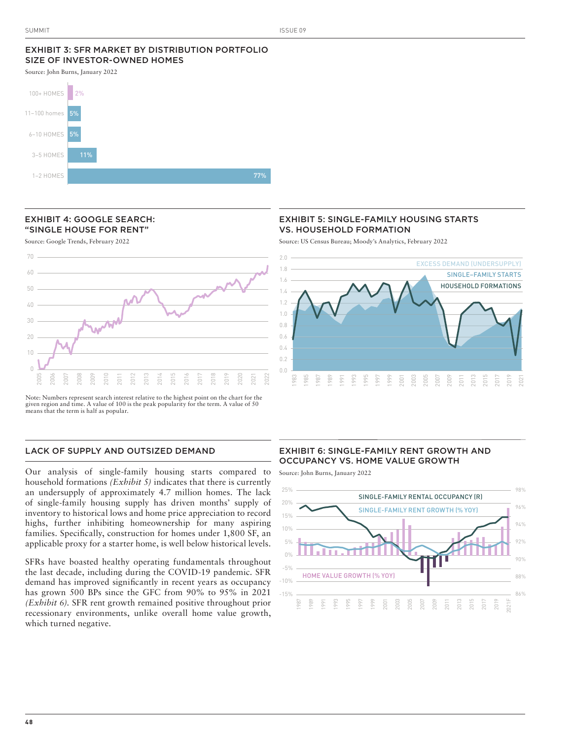# EXHIBIT 3: SFR MARKET BY DISTRIBUTION PORTFOLIO SIZE OF INVESTOR-OWNED HOMES

Source: John Burns, January 2022



#### EXHIBIT 4: GOOGLE SEARCH: "SINGLE HOUSE FOR RENT"

Source: Google Trends, February 2022



Note: Numbers represent search interest relative to the highest point on the chart for the given region and time. A value of 100 is the peak popularity for the term. A value of 50 means that the term is half as popular.

# LACK OF SUPPLY AND OUTSIZED DEMAND

Our analysis of single-family housing starts compared to household formations *(Exhibit 5)* indicates that there is currently an undersupply of approximately 4.7 million homes. The lack of single-family housing supply has driven months' supply of inventory to historical lows and home price appreciation to record highs, further inhibiting homeownership for many aspiring families. Specifically, construction for homes under 1,800 SF, an applicable proxy for a starter home, is well below historical levels.

SFRs have boasted healthy operating fundamentals throughout the last decade, including during the COVID-19 pandemic. SFR demand has improved significantly in recent years as occupancy has grown 500 BPs since the GFC from 90% to 95% in 2021 *(Exhibit 6).* SFR rent growth remained positive throughout prior recessionary environments, unlike overall home value growth, which turned negative.

# EXHIBIT 5: SINGLE-FAMILY HOUSING STARTS VS. HOUSEHOLD FORMATION

Source: US Census Bureau; Moody's Analytics, February 2022



# EXHIBIT 6: SINGLE-FAMILY RENT GROWTH AND OCCUPANCY VS. HOME VALUE GROWTH

Source: John Burns, January 2022

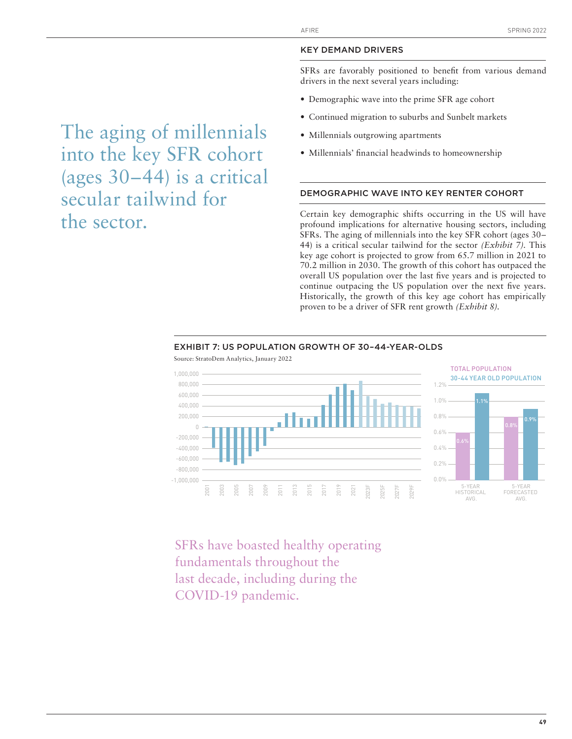#### KEY DEMAND DRIVERS

SFRs are favorably positioned to benefit from various demand drivers in the next several years including:

- Demographic wave into the prime SFR age cohort
- Continued migration to suburbs and Sunbelt markets
- Millennials outgrowing apartments
- Millennials' financial headwinds to homeownership

#### DEMOGRAPHIC WAVE INTO KEY RENTER COHORT

Certain key demographic shifts occurring in the US will have profound implications for alternative housing sectors, including SFRs. The aging of millennials into the key SFR cohort (ages 30– 44) is a critical secular tailwind for the sector *(Exhibit 7).* This key age cohort is projected to grow from 65.7 million in 2021 to 70.2 million in 2030. The growth of this cohort has outpaced the overall US population over the last five years and is projected to continue outpacing the US population over the next five years. Historically, the growth of this key age cohort has empirically proven to be a driver of SFR rent growth *(Exhibit 8).* 



#### EXHIBIT 7: US POPULATION GROWTH OF 30–44-YEAR-OLDS

SFRs have boasted healthy operating fundamentals throughout the last decade, including during the COVID-19 pandemic.

# The aging of millennials into the key SFR cohort (ages 30–44) is a critical secular tailwind for the sector.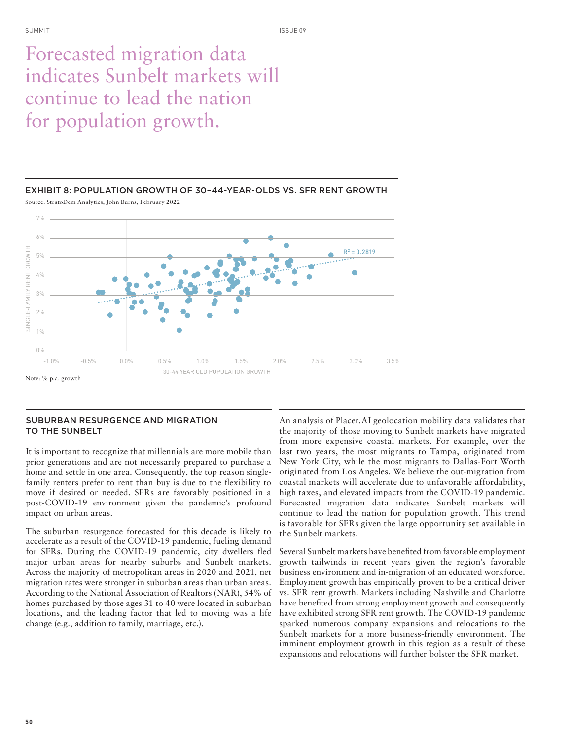# Forecasted migration data indicates Sunbelt markets will continue to lead the nation for population growth.



EXHIBIT 8: POPULATION GROWTH OF 30–44-YEAR-OLDS VS. SFR RENT GROWTH

Source: StratoDem Analytics; John Burns, February 2022

# SUBURBAN RESURGENCE AND MIGRATION TO THE SUNBELT

It is important to recognize that millennials are more mobile than prior generations and are not necessarily prepared to purchase a home and settle in one area. Consequently, the top reason singlefamily renters prefer to rent than buy is due to the flexibility to move if desired or needed. SFRs are favorably positioned in a post-COVID-19 environment given the pandemic's profound impact on urban areas.

The suburban resurgence forecasted for this decade is likely to accelerate as a result of the COVID-19 pandemic, fueling demand for SFRs. During the COVID-19 pandemic, city dwellers fled major urban areas for nearby suburbs and Sunbelt markets. Across the majority of metropolitan areas in 2020 and 2021, net migration rates were stronger in suburban areas than urban areas. According to the National Association of Realtors (NAR), 54% of homes purchased by those ages 31 to 40 were located in suburban locations, and the leading factor that led to moving was a life change (e.g., addition to family, marriage, etc.).

An analysis of Placer.AI geolocation mobility data validates that the majority of those moving to Sunbelt markets have migrated from more expensive coastal markets. For example, over the last two years, the most migrants to Tampa, originated from New York City, while the most migrants to Dallas-Fort Worth originated from Los Angeles. We believe the out-migration from coastal markets will accelerate due to unfavorable affordability, high taxes, and elevated impacts from the COVID-19 pandemic. Forecasted migration data indicates Sunbelt markets will continue to lead the nation for population growth. This trend is favorable for SFRs given the large opportunity set available in the Sunbelt markets.

Several Sunbelt markets have benefited from favorable employment growth tailwinds in recent years given the region's favorable business environment and in-migration of an educated workforce. Employment growth has empirically proven to be a critical driver vs. SFR rent growth. Markets including Nashville and Charlotte have benefited from strong employment growth and consequently have exhibited strong SFR rent growth. The COVID-19 pandemic sparked numerous company expansions and relocations to the Sunbelt markets for a more business-friendly environment. The imminent employment growth in this region as a result of these expansions and relocations will further bolster the SFR market.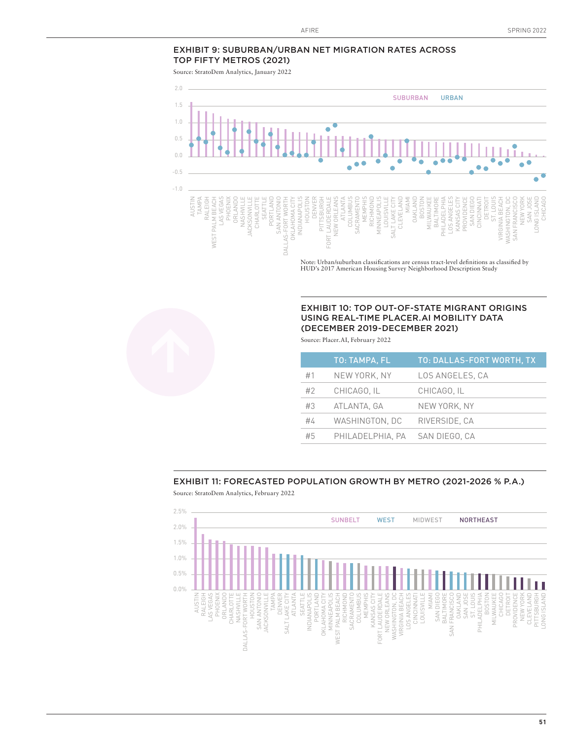# EXHIBIT 9: SUBURBAN/URBAN NET MIGRATION RATES ACROSS TOP FIFTY METROS (2021)

Source: StratoDem Analytics, January 2022



Note: Urban/suburban classifications are census tract-level definitions as classified by HUD's 2017 American Housing Survey Neighborhood Description Study

# EXHIBIT 10: TOP OUT-OF-STATE MIGRANT ORIGINS USING REAL-TIME PLACER.AI MOBILITY DATA (DECEMBER 2019-DECEMBER 2021)

Source: Placer.AI, February 2022

|    | <b>TO: TAMPA, FL</b> | TO: DALLAS-FORT WORTH, TX |
|----|----------------------|---------------------------|
| #1 | NEW YORK, NY         | LOS ANGELES, CA           |
| #2 | CHICAGO, IL          | CHICAGO. IL               |
| #3 | ATLANTA, GA          | NEW YORK, NY              |
| #4 | WASHINGTON, DC       | RIVERSIDE, CA             |
| #5 | PHILADELPHIA. PA     | SAN DIEGO, CA             |

# EXHIBIT 11: FORECASTED POPULATION GROWTH BY METRO (2021-2026 % P.A.)

Source: StratoDem Analytics, February 2022

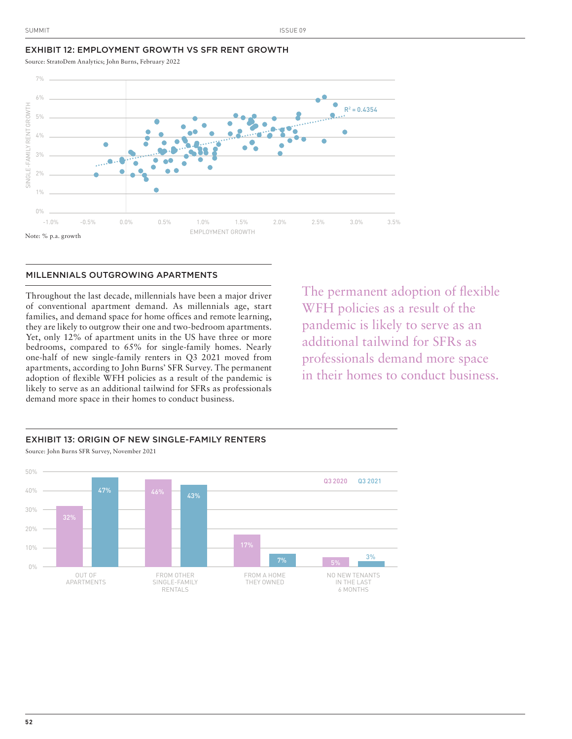#### EXHIBIT 12: EMPLOYMENT GROWTH VS SFR RENT GROWTH

Source: StratoDem Analytics; John Burns, February 2022



#### MILLENNIALS OUTGROWING APARTMENTS

Throughout the last decade, millennials have been a major driver of conventional apartment demand. As millennials age, start families, and demand space for home offices and remote learning, they are likely to outgrow their one and two-bedroom apartments. Yet, only 12% of apartment units in the US have three or more bedrooms, compared to 65% for single-family homes. Nearly one-half of new single-family renters in Q3 2021 moved from apartments, according to John Burns' SFR Survey. The permanent adoption of flexible WFH policies as a result of the pandemic is likely to serve as an additional tailwind for SFRs as professionals demand more space in their homes to conduct business.

The permanent adoption of flexible WFH policies as a result of the pandemic is likely to serve as an additional tailwind for SFRs as professionals demand more space in their homes to conduct business.



**52**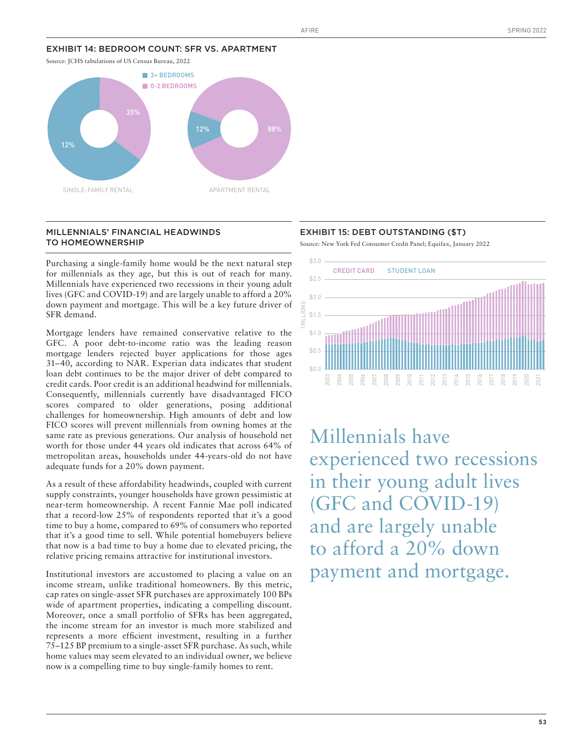## EXHIBIT 14: BEDROOM COUNT: SFR VS. APARTMENT



## MILLENNIALS' FINANCIAL HEADWINDS TO HOMEOWNERSHIP

Purchasing a single-family home would be the next natural step for millennials as they age, but this is out of reach for many. Millennials have experienced two recessions in their young adult lives (GFC and COVID-19) and are largely unable to afford a 20% down payment and mortgage. This will be a key future driver of SFR demand.

Mortgage lenders have remained conservative relative to the GFC. A poor debt-to-income ratio was the leading reason mortgage lenders rejected buyer applications for those ages 31–40, according to NAR. Experian data indicates that student loan debt continues to be the major driver of debt compared to credit cards. Poor credit is an additional headwind for millennials. Consequently, millennials currently have disadvantaged FICO scores compared to older generations, posing additional challenges for homeownership. High amounts of debt and low FICO scores will prevent millennials from owning homes at the same rate as previous generations. Our analysis of household net worth for those under 44 years old indicates that across 64% of metropolitan areas, households under 44-years-old do not have adequate funds for a 20% down payment.

As a result of these affordability headwinds, coupled with current supply constraints, younger households have grown pessimistic at near-term homeownership. A recent Fannie Mae poll indicated that a record-low 25% of respondents reported that it's a good time to buy a home, compared to 69% of consumers who reported that it's a good time to sell. While potential homebuyers believe that now is a bad time to buy a home due to elevated pricing, the relative pricing remains attractive for institutional investors.

Institutional investors are accustomed to placing a value on an income stream, unlike traditional homeowners. By this metric, cap rates on single-asset SFR purchases are approximately 100 BPs wide of apartment properties, indicating a compelling discount. Moreover, once a small portfolio of SFRs has been aggregated, the income stream for an investor is much more stabilized and represents a more efficient investment, resulting in a further 75–125 BP premium to a single-asset SFR purchase. As such, while home values may seem elevated to an individual owner, we believe now is a compelling time to buy single-family homes to rent.

#### EXHIBIT 15: DEBT OUTSTANDING (\$T)

Source: New York Fed Consumer Credit Panel; Equifax, January 2022



Millennials have experienced two recessions in their young adult lives (GFC and COVID-19) and are largely unable to afford a 20% down payment and mortgage.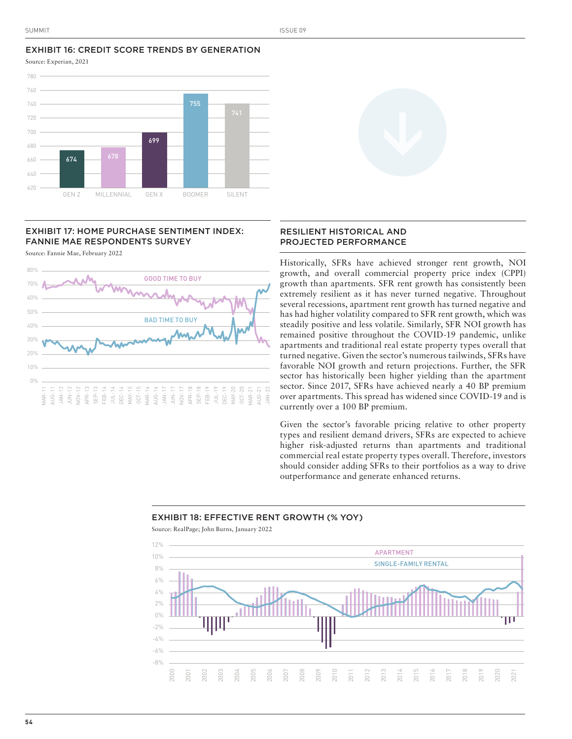## EXHIBIT 16: CREDIT SCORE TRENDS BY GENERATION Source: Experian, 2021



# EXHIBIT 17: HOME PURCHASE SENTIMENT INDEX: FANNIE MAE RESPONDENTS SURVEY

Source: Fannie Mae, February 2022



# RESILIENT HISTORICAL AND PROJECTED PERFORMANCE

Historically, SFRs have achieved stronger rent growth, NOI growth, and overall commercial property price index (CPPI) growth than apartments. SFR rent growth has consistently been extremely resilient as it has never turned negative. Throughout several recessions, apartment rent growth has turned negative and has had higher volatility compared to SFR rent growth, which was steadily positive and less volatile. Similarly, SFR NOI growth has remained positive throughout the COVID-19 pandemic, unlike apartments and traditional real estate property types overall that turned negative. Given the sector's numerous tailwinds, SFRs have favorable NOI growth and return projections. Further, the SFR sector has historically been higher yielding than the apartment sector. Since 2017, SFRs have achieved nearly a 40 BP premium over apartments. This spread has widened since COVID-19 and is currently over a 100 BP premium.

Given the sector's favorable pricing relative to other property types and resilient demand drivers, SFRs are expected to achieve higher risk-adjusted returns than apartments and traditional commercial real estate property types overall. Therefore, investors should consider adding SFRs to their portfolios as a way to drive outperformance and generate enhanced returns.

### EXHIBIT 18: EFFECTIVE RENT GROWTH (% YOY)